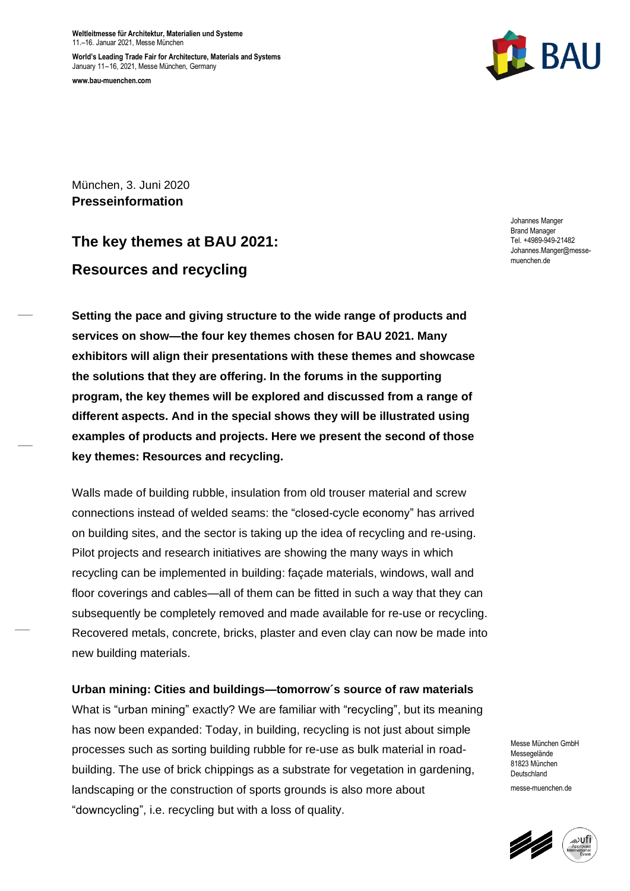**Weltleitmesse für Architektur, Materialien und Systeme** 11.–16. Januar 2021, Messe München

**World's Leading Trade Fair for Architecture, Materials and Systems** January 11–16, 2021, Messe München, Germany **www.bau-muenchen.com**



München, 3. Juni 2020 **Presseinformation**

# **The key themes at BAU 2021: Resources and recycling**

**Setting the pace and giving structure to the wide range of products and services on show—the four key themes chosen for BAU 2021. Many exhibitors will align their presentations with these themes and showcase the solutions that they are offering. In the forums in the supporting program, the key themes will be explored and discussed from a range of different aspects. And in the special shows they will be illustrated using examples of products and projects. Here we present the second of those key themes: Resources and recycling.**

Walls made of building rubble, insulation from old trouser material and screw connections instead of welded seams: the "closed-cycle economy" has arrived on building sites, and the sector is taking up the idea of recycling and re-using. Pilot projects and research initiatives are showing the many ways in which recycling can be implemented in building: façade materials, windows, wall and floor coverings and cables—all of them can be fitted in such a way that they can subsequently be completely removed and made available for re-use or recycling. Recovered metals, concrete, bricks, plaster and even clay can now be made into new building materials.

# **Urban mining: Cities and buildings—tomorrow´s source of raw materials**

What is "urban mining" exactly? We are familiar with "recycling", but its meaning has now been expanded: Today, in building, recycling is not just about simple processes such as sorting building rubble for re-use as bulk material in roadbuilding. The use of brick chippings as a substrate for vegetation in gardening, landscaping or the construction of sports grounds is also more about "downcycling", i.e. recycling but with a loss of quality.

Johannes Manger Brand Manager Tel. +4989-949-21482 Johannes.Manger@messemuenchen.de

Messe München GmbH Messegelände 81823 München Deutschland messe-muenchen.de

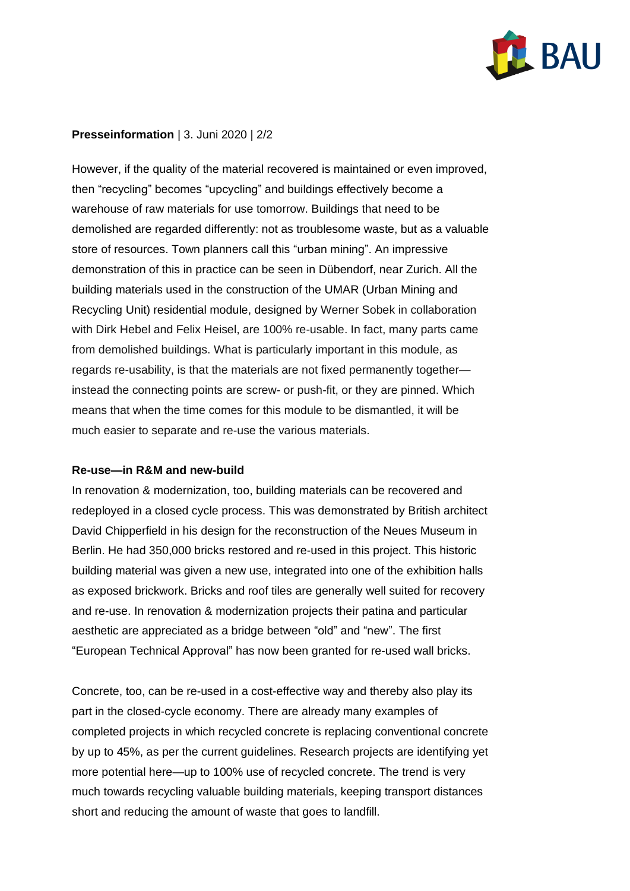

# **Presseinformation** | 3. Juni 2020 | 2/2

However, if the quality of the material recovered is maintained or even improved, then "recycling" becomes "upcycling" and buildings effectively become a warehouse of raw materials for use tomorrow. Buildings that need to be demolished are regarded differently: not as troublesome waste, but as a valuable store of resources. Town planners call this "urban mining". An impressive demonstration of this in practice can be seen in Dübendorf, near Zurich. All the building materials used in the construction of the UMAR (Urban Mining and Recycling Unit) residential module, designed by Werner Sobek in collaboration with Dirk Hebel and Felix Heisel, are 100% re-usable. In fact, many parts came from demolished buildings. What is particularly important in this module, as regards re-usability, is that the materials are not fixed permanently together instead the connecting points are screw- or push-fit, or they are pinned. Which means that when the time comes for this module to be dismantled, it will be much easier to separate and re-use the various materials.

# **Re-use—in R&M and new-build**

In renovation & modernization, too, building materials can be recovered and redeployed in a closed cycle process. This was demonstrated by British architect David Chipperfield in his design for the reconstruction of the Neues Museum in Berlin. He had 350,000 bricks restored and re-used in this project. This historic building material was given a new use, integrated into one of the exhibition halls as exposed brickwork. Bricks and roof tiles are generally well suited for recovery and re-use. In renovation & modernization projects their patina and particular aesthetic are appreciated as a bridge between "old" and "new". The first "European Technical Approval" has now been granted for re-used wall bricks.

Concrete, too, can be re-used in a cost-effective way and thereby also play its part in the closed-cycle economy. There are already many examples of completed projects in which recycled concrete is replacing conventional concrete by up to 45%, as per the current guidelines. Research projects are identifying yet more potential here—up to 100% use of recycled concrete. The trend is very much towards recycling valuable building materials, keeping transport distances short and reducing the amount of waste that goes to landfill.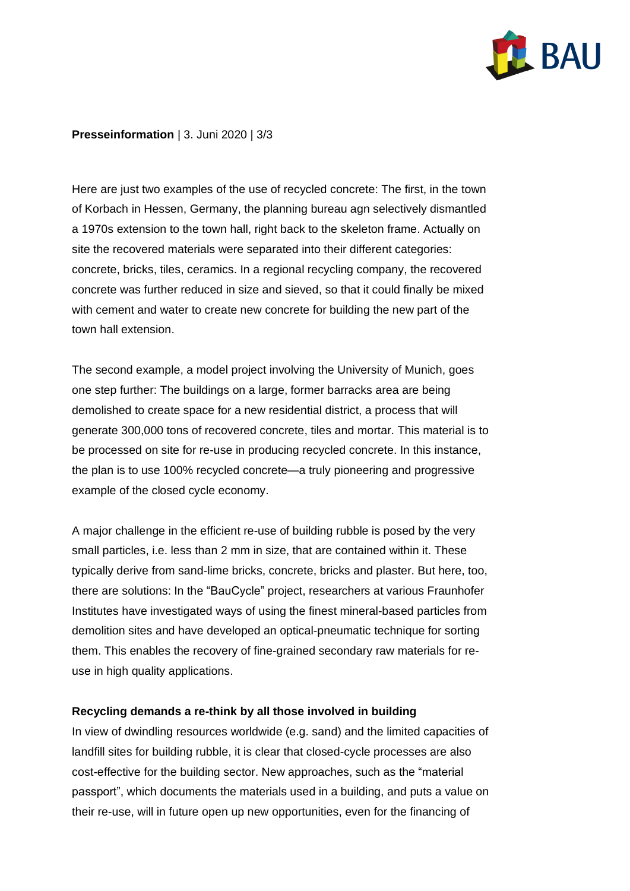

# **Presseinformation** | 3. Juni 2020 | 3/3

Here are just two examples of the use of recycled concrete: The first, in the town of Korbach in Hessen, Germany, the planning bureau agn selectively dismantled a 1970s extension to the town hall, right back to the skeleton frame. Actually on site the recovered materials were separated into their different categories: concrete, bricks, tiles, ceramics. In a regional recycling company, the recovered concrete was further reduced in size and sieved, so that it could finally be mixed with cement and water to create new concrete for building the new part of the town hall extension.

The second example, a model project involving the University of Munich, goes one step further: The buildings on a large, former barracks area are being demolished to create space for a new residential district, a process that will generate 300,000 tons of recovered concrete, tiles and mortar. This material is to be processed on site for re-use in producing recycled concrete. In this instance, the plan is to use 100% recycled concrete—a truly pioneering and progressive example of the closed cycle economy.

A major challenge in the efficient re-use of building rubble is posed by the very small particles, i.e. less than 2 mm in size, that are contained within it. These typically derive from sand-lime bricks, concrete, bricks and plaster. But here, too, there are solutions: In the "BauCycle" project, researchers at various Fraunhofer Institutes have investigated ways of using the finest mineral-based particles from demolition sites and have developed an optical-pneumatic technique for sorting them. This enables the recovery of fine-grained secondary raw materials for reuse in high quality applications.

# **Recycling demands a re-think by all those involved in building**

In view of dwindling resources worldwide (e.g. sand) and the limited capacities of landfill sites for building rubble, it is clear that closed-cycle processes are also cost-effective for the building sector. New approaches, such as the "material passport", which documents the materials used in a building, and puts a value on their re-use, will in future open up new opportunities, even for the financing of